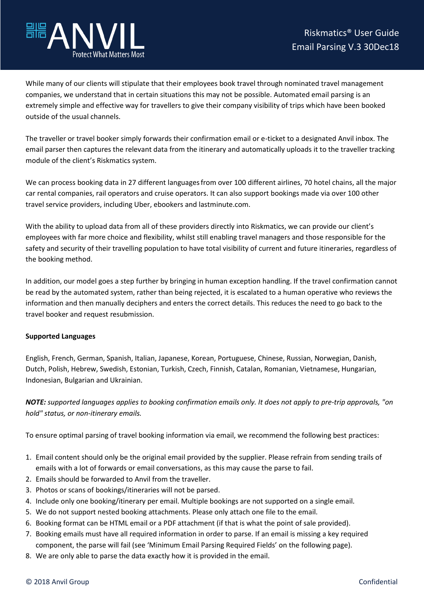

While many of our clients will stipulate that their employees book travel through nominated travel management companies, we understand that in certain situations this may not be possible. Automated email parsing is an extremely simple and effective way for travellers to give their company visibility of trips which have been booked outside of the usual channels.

The traveller or travel booker simply forwards their confirmation email or e-ticket to a designated Anvil inbox. The email parser then captures the relevant data from the itinerary and automatically uploads it to the traveller tracking module of the client's Riskmatics system.

We can process booking data in 27 different languagesfrom over 100 different airlines, 70 hotel chains, all the major car rental companies, rail operators and cruise operators. It can also support bookings made via over 100 other travel service providers, including Uber, ebookers and lastminute.com.

With the ability to upload data from all of these providers directly into Riskmatics, we can provide our client's employees with far more choice and flexibility, whilst still enabling travel managers and those responsible for the safety and security of their travelling population to have total visibility of current and future itineraries, regardless of the booking method.

In addition, our model goes a step further by bringing in human exception handling. If the travel confirmation cannot be read by the automated system, rather than being rejected, it is escalated to a human operative who reviews the information and then manually deciphers and enters the correct details. This reduces the need to go back to the travel booker and request resubmission.

## **Supported Languages**

English, French, German, Spanish, Italian, Japanese, Korean, Portuguese, Chinese, Russian, Norwegian, Danish, Dutch, Polish, Hebrew, Swedish, Estonian, Turkish, Czech, Finnish, Catalan, Romanian, Vietnamese, Hungarian, Indonesian, Bulgarian and Ukrainian.

*NOTE: supported languages applies to booking confirmation emails only. It does not apply to pre-trip approvals, "on hold" status, or non-itinerary emails.*

To ensure optimal parsing of travel booking information via email, we recommend the following best practices:

- 1. Email content should only be the original email provided by the supplier. Please refrain from sending trails of emails with a lot of forwards or email conversations, as this may cause the parse to fail.
- 2. Emails should be forwarded to Anvil from the traveller.
- 3. Photos or scans of bookings/itineraries will not be parsed.
- 4. Include only one booking/itinerary per email. Multiple bookings are not supported on a single email.
- 5. We do not support nested booking attachments. Please only attach one file to the email.
- 6. Booking format can be HTML email or a PDF attachment (if that is what the point of sale provided).
- 7. Booking emails must have all required information in order to parse. If an email is missing a key required component, the parse will fail (see 'Minimum Email Parsing Required Fields' on the following page).
- 8. We are only able to parse the data exactly how it is provided in the email.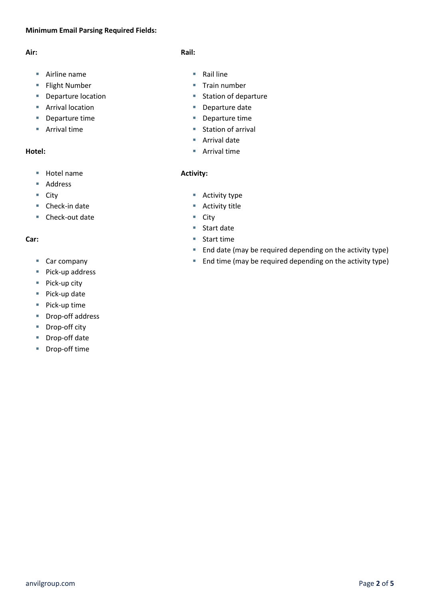# **Minimum Email Parsing Required Fields:**

## **Air:**

- Airline name
- **Flight Number**
- **Departure location**
- **Arrival location**
- Departure time
- **Arrival time**

# **Hotel:**

- Hotel name
- Address
- $\blacksquare$  City
- Check-in date
- Check-out date

### **Car:**

- Car company
- Pick-up address
- $\blacksquare$  Pick-up city
- Pick-up date
- $\blacksquare$  Pick-up time
- Drop-off address
- Drop-off city
- Drop-off date
- Drop-off time

## **Rail:**

- $\blacksquare$  Rail line
- Train number
- **Station of departure**
- Departure date
- Departure time
- Station of arrival
- **Arrival date**
- Arrival time

### **Activity:**

- Activity type
- Activity title
- City
- Start date
- Start time
- **End date (may be required depending on the activity type)**
- **End time (may be required depending on the activity type)**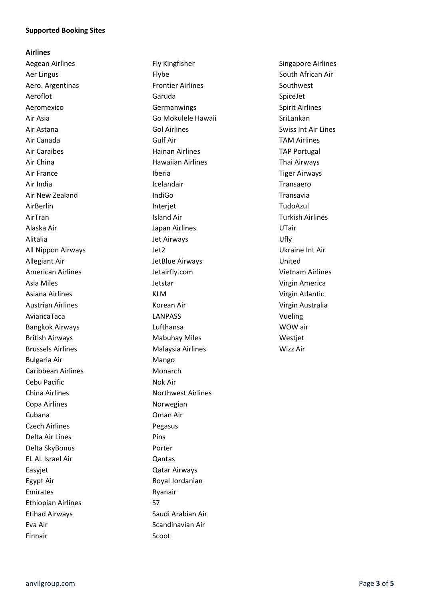#### **Supported Booking Sites**

#### **Airlines**

Aer Lingus **Flybe** Flybe South African Air Aero. Argentinas Frontier Airlines Southwest Aeromexico Christianus Germanwings Christianus Spirit Airlines Air Asia Go Mokulele Hawaii SriLankan Air Astana Gol Airlines Swiss Int Air Lines Air Canada Gulf Air TAM Airlines Air Caraibes **Air Caraibes** Hainan Airlines **TAP Portugal** Air China **Hawaiian Airlines** Thai Airways Air France **Iberia** Iberia **Iberia** Tiger Airways Air New Zealand IndiGo Transavia AirTran **Island Air** Island Air **Turkish Airlines** Alaska Air Japan Airlines UTair Alitalia **International Community** Jet Airways **Community Community Community** Ufly All Nippon Airways Jet2 Ukraine Int Air Allegiant Air JetBlue Airways United American Airlines **American Airlines** Jetairfly.com **Vietnam Airlines** Asia Miles Jetstar Virgin America Asiana Airlines **KLM** KLM Virgin Atlantic Austrian Airlines Korean Air Virgin Australia AviancaTaca LANPASS Vueling Bangkok Airways **Example 2018** Lufthansa **COVID-2018** WOW air British Airways **Mabuhay Miles** Westjet Brussels Airlines **Malaysia Airlines** Missels Airlines Missels Airlines Bulgaria Air **Mango** Caribbean Airlines **Monarch** Cebu Pacific **Nok Air** China Airlines **Northwest Airlines** Copa Airlines **Norwegian** Cubana Oman Air Czech Airlines Pegasus Delta Air Lines **Pins** Delta SkyBonus **Porter** EL AL Israel Air Qantas Easyjet Qatar Airways Egypt Air **Royal Jordanian** Emirates Ryanair Ethiopian Airlines S7 Etihad Airways **Saudi Arabian Air** Eva Air **Scandinavian Air** Scandinavian Air Finnair **Scoot** 

Aeroflot **Garuda** Garuda SpiceJet Air India **India Icelandair** Icelandair **India** India India India India India India India India India India India AirBerlin **Interjet** TudoAzul

Aegean Airlines **Fly Kingfisher** Fly Kingfisher Singapore Airlines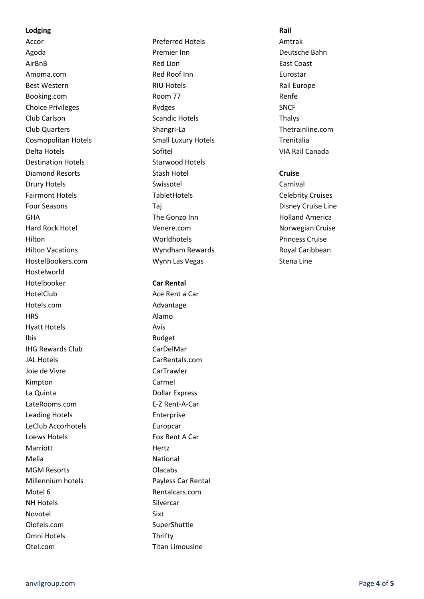#### **Lodging Rail**

Destination Hotels **Starwood Hotels** HostelBookers.com **Wynn Las Vegas** Stena Line Hostelworld Hotelbooker **Car Rental** HotelClub Ace Rent a Car Hotels.com Advantage HRS Alamo Hyatt Hotels **Avis** Ibis **Budget** IHG Rewards Club CarDelMar JAL Hotels CarRentals.com Joie de Vivre CarTrawler Kimpton Carmel La Quinta **Dollar Express** LateRooms.com E-Z Rent-A-Car Leading Hotels **Enterprise** LeClub Accorhotels **Europcar** Loews Hotels **Fox Rent A Car** Marriott Hertz Melia **National** MGM Resorts **Clacabs** Millennium hotels **Payless Car Rental** Motel 6 **Rentalcars.com** NH Hotels Silvercar Novotel Sixt Olotels.com SuperShuttle Omni Hotels Thrifty Otel.com Titan Limousine

Accor **Accor** Preferred Hotels **Amtrak** Agoda Premier Inn Deutsche Bahn AirBnB **Red Lion Red Lion Red Lion East Coast** Amoma.com **Red Roof Inn Eurostar** Eurostar Best Western **RIU Hotels** RIU Hotels **Rail Europe** Booking.com Room 77 Room 77 Renfe Choice Privileges Rydges SNCF Club Carlson **Scandic Hotels** Club Carlson Thalys Club Quarters Shangri-La Thetrainline.com Cosmopolitan Hotels **Small Luxury Hotels** Trenitalia Delta Hotels **National Canada** Sofitel Sofitel VIA Rail Canada Diamond Resorts Stash Hotel **Cruise** Drury Hotels Swissotel Carnival Fairmont Hotels **TabletHotels** TabletHotels Celebrity Cruises Four Seasons Taj Taj Disney Cruise Line GHA The Gonzo Inn The Gonzo Inn Holland America Hard Rock Hotel **Norwegian Cruise** Venere.com **Norwegian Cruise** Norwegian Cruise Hilton Worldhotels Princess Cruise Hilton Vacations **Music Community** Wyndham Rewards **Royal Caribbean**